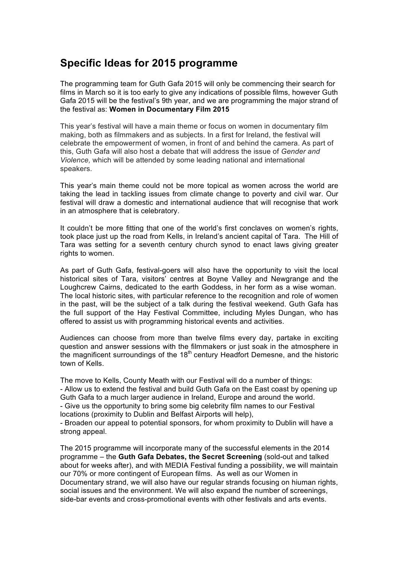## **Specific Ideas for 2015 programme**

The programming team for Guth Gafa 2015 will only be commencing their search for films in March so it is too early to give any indications of possible films, however Guth Gafa 2015 will be the festival's 9th year, and we are programming the major strand of the festival as: **Women in Documentary Film 2015**

This year's festival will have a main theme or focus on women in documentary film making, both as filmmakers and as subjects. In a first for Ireland, the festival will celebrate the empowerment of women, in front of and behind the camera. As part of this, Guth Gafa will also host a debate that will address the issue of *Gender and Violence,* which will be attended by some leading national and international speakers.

This year's main theme could not be more topical as women across the world are taking the lead in tackling issues from climate change to poverty and civil war. Our festival will draw a domestic and international audience that will recognise that work in an atmosphere that is celebratory.

It couldn't be more fitting that one of the world's first conclaves on women's rights, took place just up the road from Kells, in Ireland's ancient capital of Tara. The Hill of Tara was setting for a seventh century church synod to enact laws giving greater rights to women.

As part of Guth Gafa, festival-goers will also have the opportunity to visit the local historical sites of Tara, visitors' centres at Boyne Valley and Newgrange and the Loughcrew Cairns, dedicated to the earth Goddess, in her form as a wise woman. The local historic sites, with particular reference to the recognition and role of women in the past, will be the subject of a talk during the festival weekend. Guth Gafa has the full support of the Hay Festival Committee, including Myles Dungan, who has offered to assist us with programming historical events and activities.

Audiences can choose from more than twelve films every day, partake in exciting question and answer sessions with the filmmakers or just soak in the atmosphere in the magnificent surroundings of the 18<sup>th</sup> century Headfort Demesne, and the historic town of Kells.

The move to Kells, County Meath with our Festival will do a number of things: - Allow us to extend the festival and build Guth Gafa on the East coast by opening up Guth Gafa to a much larger audience in Ireland, Europe and around the world. - Give us the opportunity to bring some big celebrity film names to our Festival locations (proximity to Dublin and Belfast Airports will help),

- Broaden our appeal to potential sponsors, for whom proximity to Dublin will have a strong appeal.

The 2015 programme will incorporate many of the successful elements in the 2014 programme – the **Guth Gafa Debates, the Secret Screening** (sold-out and talked about for weeks after), and with MEDIA Festival funding a possibility, we will maintain our 70% or more contingent of European films. As well as our Women in Documentary strand, we will also have our regular strands focusing on hiuman rights, social issues and the environment. We will also expand the number of screenings, side-bar events and cross-promotional events with other festivals and arts events.